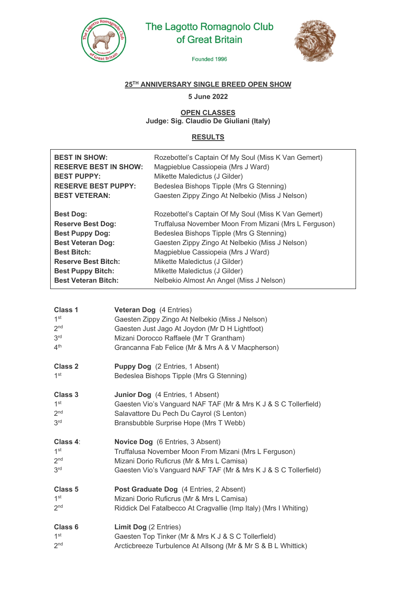

# The Lagotto Romagnolo Club of Great Britain



Founded 1996

## **25TH ANNIVERSARY SINGLE BREED OPEN SHOW**

**5 June 2022**

#### **OPEN CLASSES Judge: Sig. Claudio De Giuliani (Italy)**

### **RESULTS**

| <b>BEST IN SHOW:</b><br><b>RESERVE BEST IN SHOW:</b><br><b>BEST PUPPY:</b><br><b>RESERVE BEST PUPPY:</b><br><b>BEST VETERAN:</b> | Rozebottel's Captain Of My Soul (Miss K Van Gemert)<br>Magpieblue Cassiopeia (Mrs J Ward)<br>Mikette Maledictus (J Gilder)<br>Bedeslea Bishops Tipple (Mrs G Stenning)<br>Gaesten Zippy Zingo At Nelbekio (Miss J Nelson) |
|----------------------------------------------------------------------------------------------------------------------------------|---------------------------------------------------------------------------------------------------------------------------------------------------------------------------------------------------------------------------|
| <b>Best Dog:</b>                                                                                                                 | Rozebottel's Captain Of My Soul (Miss K Van Gemert)                                                                                                                                                                       |
| <b>Reserve Best Dog:</b>                                                                                                         | Truffalusa November Moon From Mizani (Mrs L Ferguson)                                                                                                                                                                     |
| <b>Best Puppy Dog:</b>                                                                                                           | Bedeslea Bishops Tipple (Mrs G Stenning)                                                                                                                                                                                  |
| <b>Best Veteran Dog:</b>                                                                                                         | Gaesten Zippy Zingo At Nelbekio (Miss J Nelson)                                                                                                                                                                           |
| <b>Best Bitch:</b>                                                                                                               | Magpieblue Cassiopeia (Mrs J Ward)                                                                                                                                                                                        |
| <b>Reserve Best Bitch:</b>                                                                                                       | Mikette Maledictus (J Gilder)                                                                                                                                                                                             |
| <b>Best Puppy Bitch:</b>                                                                                                         | Mikette Maledictus (J Gilder)                                                                                                                                                                                             |
| <b>Best Veteran Bitch:</b>                                                                                                       | Nelbekio Almost An Angel (Miss J Nelson)                                                                                                                                                                                  |

| Class 1<br>1 <sup>st</sup><br>2 <sub>nd</sub><br>3 <sup>rd</sup> | Veteran Dog (4 Entries)<br>Gaesten Zippy Zingo At Nelbekio (Miss J Nelson)<br>Gaesten Just Jago At Joydon (Mr D H Lightfoot) |
|------------------------------------------------------------------|------------------------------------------------------------------------------------------------------------------------------|
| 4 <sup>th</sup>                                                  | Mizani Dorocco Raffaele (Mr T Grantham)<br>Grancanna Fab Felice (Mr & Mrs A & V Macpherson)                                  |
| Class 2                                                          | <b>Puppy Dog</b> (2 Entries, 1 Absent)                                                                                       |
| 1 <sup>st</sup>                                                  | Bedeslea Bishops Tipple (Mrs G Stenning)                                                                                     |
| Class 3                                                          | <b>Junior Dog</b> (4 Entries, 1 Absent)                                                                                      |
| 1 <sup>st</sup>                                                  | Gaesten Vio's Vanguard NAF TAF (Mr & Mrs K J & S C Tollerfield)                                                              |
| 2 <sub>nd</sub>                                                  | Salavattore Du Pech Du Cayrol (S Lenton)                                                                                     |
| 3 <sup>rd</sup>                                                  | Bransbubble Surprise Hope (Mrs T Webb)                                                                                       |
| Class 4:                                                         | <b>Novice Dog</b> (6 Entries, 3 Absent)                                                                                      |
| 1 <sup>st</sup>                                                  | Truffalusa November Moon From Mizani (Mrs L Ferguson)                                                                        |
| 2 <sub>nd</sub>                                                  | Mizani Dorio Ruficrus (Mr & Mrs L Camisa)                                                                                    |
| 3 <sup>rd</sup>                                                  | Gaesten Vio's Vanguard NAF TAF (Mr & Mrs K J & S C Tollerfield)                                                              |
| Class <sub>5</sub>                                               | Post Graduate Dog (4 Entries, 2 Absent)                                                                                      |
| 1 <sup>st</sup>                                                  | Mizani Dorio Ruficrus (Mr & Mrs L Camisa)                                                                                    |
| 2 <sub>nd</sub>                                                  | Riddick Del Fatalbecco At Cragvallie (Imp Italy) (Mrs I Whiting)                                                             |
| Class <sub>6</sub>                                               | <b>Limit Dog (2 Entries)</b>                                                                                                 |
| 1 <sup>st</sup>                                                  | Gaesten Top Tinker (Mr & Mrs K J & S C Tollerfield)                                                                          |
| 2 <sub>nd</sub>                                                  | Arcticbreeze Turbulence At Allsong (Mr & Mr S & B L Whittick)                                                                |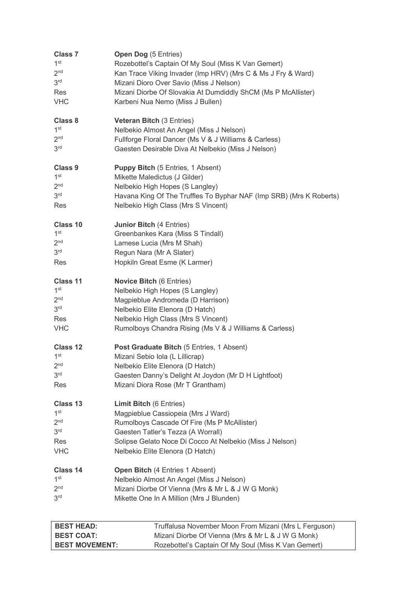| <b>Class 7</b>    | Open Dog (5 Entries)                                                |
|-------------------|---------------------------------------------------------------------|
| 1 <sup>st</sup>   | Rozebottel's Captain Of My Soul (Miss K Van Gemert)                 |
| 2 <sub>nd</sub>   | Kan Trace Viking Invader (Imp HRV) (Mrs C & Ms J Fry & Ward)        |
| 3 <sup>rd</sup>   | Mizani Dioro Over Savio (Miss J Nelson)                             |
| <b>Res</b>        | Mizani Diorbe Of Slovakia At Dumdiddly ShCM (Ms P McAllister)       |
| <b>VHC</b>        | Karbeni Nua Nemo (Miss J Bullen)                                    |
| Class 8           | <b>Veteran Bitch (3 Entries)</b>                                    |
| 1 <sup>st</sup>   | Nelbekio Almost An Angel (Miss J Nelson)                            |
| 2 <sub>nd</sub>   | Fullforge Floral Dancer (Ms V & J Williams & Carless)               |
| 3 <sup>rd</sup>   | Gaesten Desirable Diva At Nelbekio (Miss J Nelson)                  |
| <b>Class 9</b>    | <b>Puppy Bitch (5 Entries, 1 Absent)</b>                            |
| 1 <sup>st</sup>   | Mikette Maledictus (J Gilder)                                       |
| 2 <sub>nd</sub>   | Nelbekio High Hopes (S Langley)                                     |
| 3 <sup>rd</sup>   | Havana King Of The Truffles To Byphar NAF (Imp SRB) (Mrs K Roberts) |
| Res               | Nelbekio High Class (Mrs S Vincent)                                 |
| Class 10          | <b>Junior Bitch (4 Entries)</b>                                     |
| 1 <sup>st</sup>   | Greenbankes Kara (Miss S Tindall)                                   |
| 2 <sub>nd</sub>   | Lamese Lucia (Mrs M Shah)                                           |
| 3 <sup>rd</sup>   | Regun Nara (Mr A Slater)                                            |
| Res               | Hopkiln Great Esme (K Larmer)                                       |
| Class 11          | <b>Novice Bitch (6 Entries)</b>                                     |
| 1 <sup>st</sup>   | Nelbekio High Hopes (S Langley)                                     |
| 2 <sub>nd</sub>   | Magpieblue Andromeda (D Harrison)                                   |
| 3 <sup>rd</sup>   | Nelbekio Elite Elenora (D Hatch)                                    |
| Res               | Nelbekio High Class (Mrs S Vincent)                                 |
| <b>VHC</b>        | Rumolboys Chandra Rising (Ms V & J Williams & Carless)              |
| Class 12          | Post Graduate Bitch (5 Entries, 1 Absent)                           |
| 1st               | Mizani Sebio Iola (L Lillicrap)                                     |
| 2 <sup>nd</sup>   | Nelbekio Elite Elenora (D Hatch)                                    |
| 3 <sup>rd</sup>   | Gaesten Danny's Delight At Joydon (Mr D H Lightfoot)                |
| Res               | Mizani Diora Rose (Mr T Grantham)                                   |
| Class 13          | <b>Limit Bitch (6 Entries)</b>                                      |
| 1 <sup>st</sup>   | Magpieblue Cassiopeia (Mrs J Ward)                                  |
| 2 <sub>nd</sub>   | Rumolboys Cascade Of Fire (Ms P McAllister)                         |
| 3 <sup>rd</sup>   | Gaesten Tatler's Tezza (A Worrall)                                  |
| Res               | Solipse Gelato Noce Di Cocco At Nelbekio (Miss J Nelson)            |
| <b>VHC</b>        | Nelbekio Elite Elenora (D Hatch)                                    |
| Class 14          | Open Bitch (4 Entries 1 Absent)                                     |
| 1 <sup>st</sup>   | Nelbekio Almost An Angel (Miss J Nelson)                            |
| 2 <sub>nd</sub>   | Mizani Diorbe Of Vienna (Mrs & Mr L & J W G Monk)                   |
| 3 <sup>rd</sup>   | Mikette One In A Million (Mrs J Blunden)                            |
|                   |                                                                     |
| <b>BEST HEAD:</b> | Truffalusa November Moon From Mizani (Mrs L Ferguson)               |
| <b>BEST COAT:</b> | Mizani Diorbe Of Vienna (Mrs & Mr L & J W G Monk)                   |

**BEST MOVEMENT:** Rozebottel's Captain Of My Soul (Miss K Van Gemert)